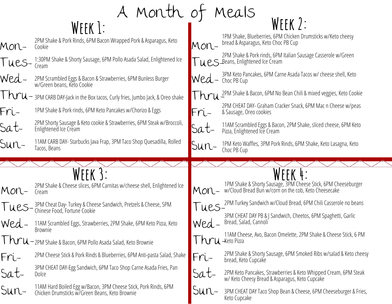# A Month of Meals **Week 1: Week 2:**

| Mon- |  |
|------|--|
|      |  |

Sat-

- 2PM Shake & Pork Rinds, 6PM Bacon Wrapped Pork & Asparagus, Keto Cookie
- I ues-1:30PM Shake & Shorty Sausage, 6PM Pollo Asada Salad, Enlightened Ice Cream
- Wed-2PM Scrambled Eggs & Bacon & Strawberries, 6PM Bunless Burger w/Green beans, Keto Cookie
- Thru-3PM CARB DAY-Jack in the Box tacos, Curly fries, Jumbo Jack, & Oreo shake
- Fri-1PM Shake & Pork rinds, 6PM Keto Pancakes w/Chorizo & Eggs
- Sat-2PM Shorty Sausage & Keto cookie & Strawberries, 6PM Steak w/Broccoli, Enlightened Ice Cream
- Sun-11AM CARB DAY- Starbucks Java Frap, 3PM Taco Shop Quesadilla, Rolled Tacos, Beans
	-
- Mon-2PM Shake & Cheese slices, 6PM Carnitas w/cheese shell, Enlightened Ice Cream
- Tues-3PM Cheat Day- Turkey & Cheese Sandwich, Pretzels & Cheese, 5PM Chinese Food, Fortune Cookie
- Wed-11AM Scrambled Eggs, Strawberries, 2PM Shake, 6PM Keto Pizza, Keto Brownie
- 1 **hru**-2PM Shake & Bacon, 6PM Pollo Asada Salad, Keto Brownie
- Fri-2PM Cheese Stick & Pork Rinds & Blueberries, 6PM Anti-pasta Salad, Shake
	- 3PM CHEAT DAY-Egg Sandwich, 6PM Taco Shop Carne Asada Fries, Pan Dolce
- Sun-11AM Hard Boiled Egg w/Bacon, 3PM Cheese Stick, Pork Rinds, 6PM Chicken Drumsticks w/Green Beans, Keto Brownie
- 
- 1PM Shake, Blueberries, 6PM Chicken Drumsticks w/Keto cheesy bread & Asparagus, Keto Choc PB Cup
- Mon-| **UCS** Beans, Enlightened Ice Cream 2PM Shake & Pork rinds, 6PM Italian Sausage Casserole w/Green
- Wed Choc PB Cup 3PM Keto Pancakes, 6PM Carne Asada Tacos w/ cheese shell, Keto
- Thru<sup>2PM Shake & Bacon, 6PM No Bean Chili & mixed veggies, Keto Cookie<br>2014 GUEAL DAY Graham Gradua Gradua Children Chinae Charles</sup>
- Fri-2PM CHEAT DAY- Graham Cracker Snack, 6PM Mac n Cheese w/peas & Sausage, Oreo cookies
- Sat-11AM Scrambled Eggs & Bacon, 2PM Shake, sliced cheese, 6PM Keto Pizza, Enlightened Ice Cream
- Sun-1PM Keto Waffles, 3PM Pork Rinds, 6PM Shake, Keto Lasagna, Keto Choc PB Cup

## **Week 3: Week 4:**

- Mon-1PM Shake & Shorty Sausage, 3PM Cheese Stick, 6PM Cheeseburger w/Cloud Bread Bun w/corn on the cob, Keto Cheesecake
- Tues-2PM Turkey Sandwich w/Cloud Bread, 6PM Chili Casserole no beans
- Wed-
	- 3PM CHEAT DAY PB & J Sandwich, Cheetos, 6PM Spaghetti, Garlic Bread, Salad, Cannoli
- I hru-keto Pizza 11AM Cheese, Avo, Bacon Omelette, 2PM Shake & Cheese Stick, 6 PM
- Fri-2PM Shake & Shorty Sausage, 6PM Smoked Ribs w/salad & Keto cheesy bread, Keto Cupcake
- Sat-2PM Keto Pancakes, Strawberries & Keto Whipped Cream, 6PM Steak w/ Keto Cheesy Bread & Asparagus, Keto Cupcake
- Sun-3PM CHEAT DAY Taco Shop Bean & Cheese, 6PM Cheeseburger & Fries, Keto Cupcake